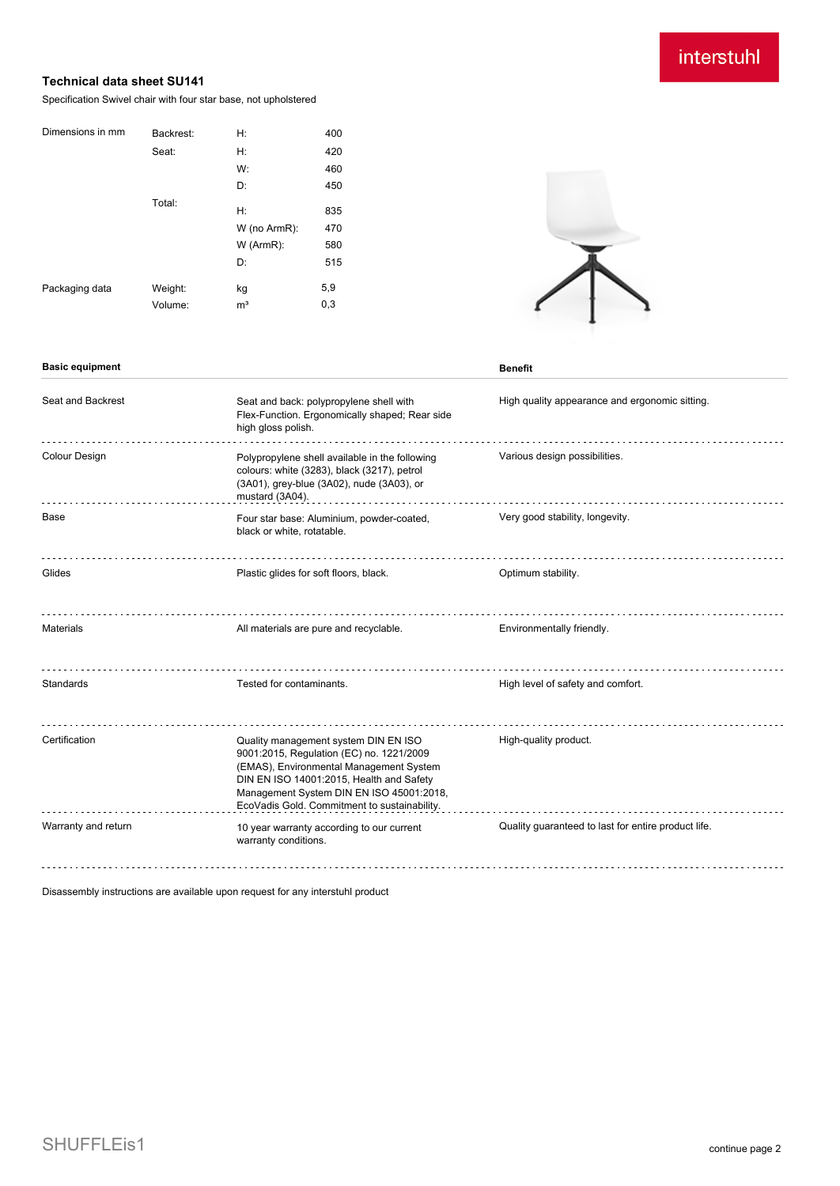## interstuhl

## **Technical data sheet SU141**

Specification Swivel chair with four star base, not upholstered

| Dimensions in mm | Backrest: | Н:             | 400 |
|------------------|-----------|----------------|-----|
|                  | Seat:     | H:             | 420 |
|                  |           | W:             | 460 |
|                  |           | D:             | 450 |
|                  | Total:    | H:             | 835 |
|                  |           | W (no ArmR):   | 470 |
|                  |           |                |     |
|                  |           | W (ArmR):      | 580 |
|                  |           | D:             | 515 |
| Packaging data   | Weight:   | kg             | 5,9 |
|                  | Volume:   | m <sup>3</sup> | 0,3 |
|                  |           |                |     |

**Basic equipment Benefit** 



| Seat and Backrest    | Seat and back: polypropylene shell with<br>Flex-Function. Ergonomically shaped; Rear side<br>high gloss polish.                                                                                                                                                     | High quality appearance and ergonomic sitting.      |
|----------------------|---------------------------------------------------------------------------------------------------------------------------------------------------------------------------------------------------------------------------------------------------------------------|-----------------------------------------------------|
| <b>Colour Design</b> | Polypropylene shell available in the following<br>colours: white (3283), black (3217), petrol<br>(3A01), grey-blue (3A02), nude (3A03), or<br>mustard (3A04).                                                                                                       | Various design possibilities.                       |
| Base                 | Four star base: Aluminium, powder-coated,<br>black or white, rotatable.                                                                                                                                                                                             | Very good stability, longevity.                     |
| Glides               | Plastic glides for soft floors, black.                                                                                                                                                                                                                              | Optimum stability.                                  |
| <b>Materials</b>     | All materials are pure and recyclable.                                                                                                                                                                                                                              | Environmentally friendly.                           |
| Standards            | Tested for contaminants.                                                                                                                                                                                                                                            | High level of safety and comfort.                   |
| Certification        | Quality management system DIN EN ISO<br>9001:2015, Regulation (EC) no. 1221/2009<br>(EMAS), Environmental Management System<br>DIN EN ISO 14001:2015, Health and Safety<br>Management System DIN EN ISO 45001:2018,<br>EcoVadis Gold. Commitment to sustainability. | High-quality product.                               |
| Warranty and return  | 10 year warranty according to our current<br>warranty conditions.                                                                                                                                                                                                   | Quality guaranteed to last for entire product life. |
|                      |                                                                                                                                                                                                                                                                     |                                                     |

Disassembly instructions are available upon request for any interstuhl product